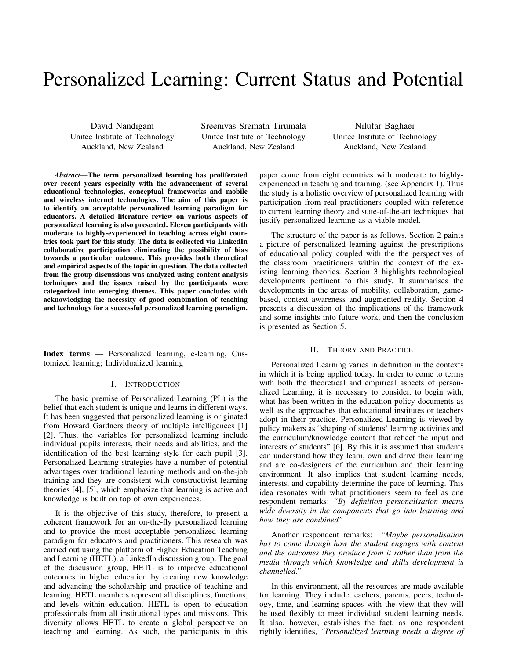# Personalized Learning: Current Status and Potential

David Nandigam Unitec Institute of Technology Auckland, New Zealand

Sreenivas Sremath Tirumala Unitec Institute of Technology Auckland, New Zealand

Nilufar Baghaei Unitec Institute of Technology Auckland, New Zealand

*Abstract*—The term personalized learning has proliferated over recent years especially with the advancement of several educational technologies, conceptual frameworks and mobile and wireless internet technologies. The aim of this paper is to identify an acceptable personalized learning paradigm for educators. A detailed literature review on various aspects of personalized learning is also presented. Eleven participants with moderate to highly-experienced in teaching across eight countries took part for this study. The data is collected via LinkedIn collaborative participation eliminating the possibility of bias towards a particular outcome. This provides both theoretical and empirical aspects of the topic in question. The data collected from the group discussions was analyzed using content analysis techniques and the issues raised by the participants were categorized into emerging themes. This paper concludes with acknowledging the necessity of good combination of teaching and technology for a successful personalized learning paradigm.

Index terms — Personalized learning, e-learning, Customized learning; Individualized learning

#### I. INTRODUCTION

The basic premise of Personalized Learning (PL) is the belief that each student is unique and learns in different ways. It has been suggested that personalized learning is originated from Howard Gardners theory of multiple intelligences [1] [2]. Thus, the variables for personalized learning include individual pupils interests, their needs and abilities, and the identification of the best learning style for each pupil [3]. Personalized Learning strategies have a number of potential advantages over traditional learning methods and on-the-job training and they are consistent with constructivist learning theories [4], [5], which emphasize that learning is active and knowledge is built on top of own experiences.

It is the objective of this study, therefore, to present a coherent framework for an on-the-fly personalized learning and to provide the most acceptable personalized learning paradigm for educators and practitioners. This research was carried out using the platform of Higher Education Teaching and Learning (HETL), a LinkedIn discussion group. The goal of the discussion group, HETL is to improve educational outcomes in higher education by creating new knowledge and advancing the scholarship and practice of teaching and learning. HETL members represent all disciplines, functions, and levels within education. HETL is open to education professionals from all institutional types and missions. This diversity allows HETL to create a global perspective on teaching and learning. As such, the participants in this

paper come from eight countries with moderate to highlyexperienced in teaching and training. (see Appendix 1). Thus the study is a holistic overview of personalized learning with participation from real practitioners coupled with reference to current learning theory and state-of-the-art techniques that justify personalized learning as a viable model.

The structure of the paper is as follows. Section 2 paints a picture of personalized learning against the prescriptions of educational policy coupled with the the perspectives of the classroom practitioners within the context of the existing learning theories. Section 3 highlights technological developments pertinent to this study. It summarises the developments in the areas of mobility, collaboration, gamebased, context awareness and augmented reality. Section 4 presents a discussion of the implications of the framework and some insights into future work, and then the conclusion is presented as Section 5.

## II. THEORY AND PRACTICE

Personalized Learning varies in definition in the contexts in which it is being applied today. In order to come to terms with both the theoretical and empirical aspects of personalized Learning, it is necessary to consider, to begin with, what has been written in the education policy documents as well as the approaches that educational institutes or teachers adopt in their practice. Personalized Learning is viewed by policy makers as "shaping of students' learning activities and the curriculum/knowledge content that reflect the input and interests of students" [6]. By this it is assumed that students can understand how they learn, own and drive their learning and are co-designers of the curriculum and their learning environment. It also implies that student learning needs, interests, and capability determine the pace of learning. This idea resonates with what practitioners seem to feel as one respondent remarks: *"By definition personalisation means wide diversity in the components that go into learning and how they are combined"*

Another respondent remarks: *"Maybe personalisation has to come through how the student engages with content and the outcomes they produce from it rather than from the media through which knowledge and skills development is channelled."*

In this environment, all the resources are made available for learning. They include teachers, parents, peers, technology, time, and learning spaces with the view that they will be used flexibly to meet individual student learning needs. It also, however, establishes the fact, as one respondent rightly identifies, *"Personalized learning needs a degree of*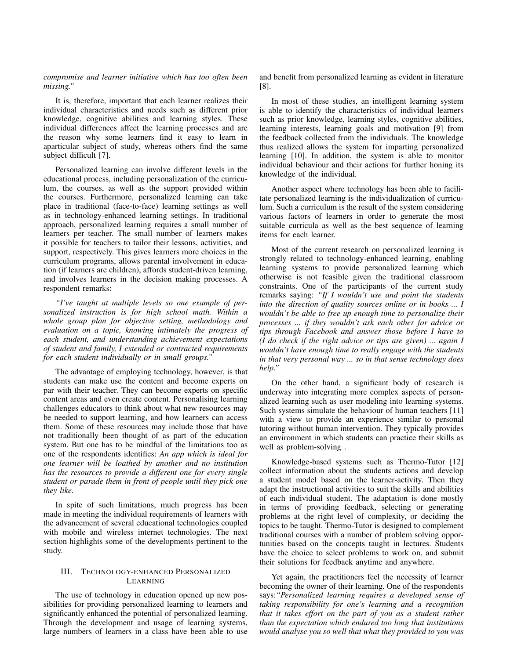*compromise and learner initiative which has too often been missing."*

It is, therefore, important that each learner realizes their individual characteristics and needs such as different prior knowledge, cognitive abilities and learning styles. These individual differences affect the learning processes and are the reason why some learners find it easy to learn in aparticular subject of study, whereas others find the same subject difficult [7].

Personalized learning can involve different levels in the educational process, including personalization of the curriculum, the courses, as well as the support provided within the courses. Furthermore, personalized learning can take place in traditional (face-to-face) learning settings as well as in technology-enhanced learning settings. In traditional approach, personalized learning requires a small number of learners per teacher. The small number of learners makes it possible for teachers to tailor their lessons, activities, and support, respectively. This gives learners more choices in the curriculum programs, allows parental involvement in education (if learners are children), affords student-driven learning, and involves learners in the decision making processes. A respondent remarks:

*"I've taught at multiple levels so one example of personalized instruction is for high school math. Within a whole group plan for objective setting, methodology and evaluation on a topic, knowing intimately the progress of each student, and understanding achievement expectations of student and family, I extended or contracted requirements for each student individually or in small groups."*

The advantage of employing technology, however, is that students can make use the content and become experts on par with their teacher. They can become experts on specific content areas and even create content. Personalising learning challenges educators to think about what new resources may be needed to support learning, and how learners can access them. Some of these resources may include those that have not traditionally been thought of as part of the education system. But one has to be mindful of the limitations too as one of the respondents identifies: *An app which is ideal for one learner will be loathed by another and no institution has the resources to provide a different one for every single student or parade them in front of people until they pick one they like.*

In spite of such limitations, much progress has been made in meeting the individual requirements of learners with the advancement of several educational technologies coupled with mobile and wireless internet technologies. The next section highlights some of the developments pertinent to the study.

# III. TECHNOLOGY-ENHANCED PERSONALIZED LEARNING

The use of technology in education opened up new possibilities for providing personalized learning to learners and significantly enhanced the potential of personalized learning. Through the development and usage of learning systems, large numbers of learners in a class have been able to use

and benefit from personalized learning as evident in literature [8].

In most of these studies, an intelligent learning system is able to identify the characteristics of individual learners such as prior knowledge, learning styles, cognitive abilities, learning interests, learning goals and motivation [9] from the feedback collected from the individuals. The knowledge thus realized allows the system for imparting personalized learning [10]. In addition, the system is able to monitor individual behaviour and their actions for further honing its knowledge of the individual.

Another aspect where technology has been able to facilitate personalized learning is the individualization of curriculum. Such a curriculum is the result of the system considering various factors of learners in order to generate the most suitable curricula as well as the best sequence of learning items for each learner.

Most of the current research on personalized learning is strongly related to technology-enhanced learning, enabling learning systems to provide personalized learning which otherwise is not feasible given the traditional classroom constraints. One of the participants of the current study remarks saying: *"If I wouldn't use and point the students into the direction of quality sources online or in books ... I wouldn't be able to free up enough time to personalize their processes ... if they wouldn't ask each other for advice or tips through Facebook and answer those before I have to (I do check if the right advice or tips are given) ... again I wouldn't have enough time to really engage with the students in that very personal way ... so in that sense technology does help."*

On the other hand, a significant body of research is underway into integrating more complex aspects of personalized learning such as user modeling into learning systems. Such systems simulate the behaviour of human teachers [11] with a view to provide an experience similar to personal tutoring without human intervention. They typically provides an environment in which students can practice their skills as well as problem-solving .

Knowledge-based systems such as Thermo-Tutor [12] collect information about the students actions and develop a student model based on the learner-activity. Then they adapt the instructional activities to suit the skills and abilities of each individual student. The adaptation is done mostly in terms of providing feedback, selecting or generating problems at the right level of complexity, or deciding the topics to be taught. Thermo-Tutor is designed to complement traditional courses with a number of problem solving opportunities based on the concepts taught in lectures. Students have the choice to select problems to work on, and submit their solutions for feedback anytime and anywhere.

Yet again, the practitioners feel the necessity of learner becoming the owner of their learning. One of the respondents says:*"Personalized learning requires a developed sense of taking responsibility for one's learning and a recognition that it takes effort on the part of you as a student rather than the expectation which endured too long that institutions would analyse you so well that what they provided to you was*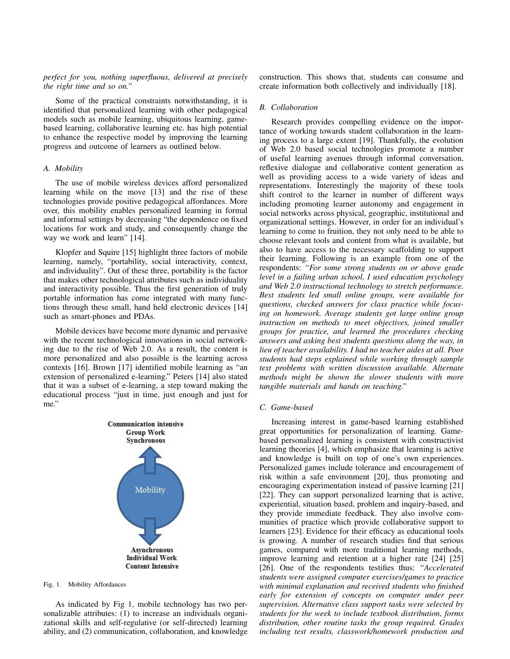## *perfect for you, nothing superfluous, delivered at precisely the right time and so on."*

Some of the practical constraints notwithstanding, it is identified that personalized learning with other pedagogical models such as mobile learning, ubiquitous learning, gamebased learning, collaborative learning etc. has high potential to enhance the respective model by improving the learning progress and outcome of learners as outlined below.

## *A. Mobility*

The use of mobile wireless devices afford personalized learning while on the move [13] and the rise of these technologies provide positive pedagogical affordances. More over, this mobility enables personalized learning in formal and informal settings by decreasing "the dependence on fixed locations for work and study, and consequently change the way we work and learn" [14].

Klopfer and Squire [15] highlight three factors of mobile learning, namely, "portability, social interactivity, context, and individuality". Out of these three, portability is the factor that makes other technological attributes such as individuality and interactivity possible. Thus the first generation of truly portable information has come integrated with many functions through these small, hand held electronic devices [14] such as smart-phones and PDAs.

Mobile devices have become more dynamic and pervasive with the recent technological innovations in social networking due to the rise of Web 2.0. As a result, the content is more personalized and also possible is the learning across contexts [16]. Brown [17] identified mobile learning as "an extension of personalized e-learning." Peters [14] also stated that it was a subset of e-learning, a step toward making the educational process "just in time, just enough and just for me."



Fig. 1. Mobility Affordances

As indicated by Fig 1, mobile technology has two personalizable attributes: (1) to increase an individuals organizational skills and self-regulative (or self-directed) learning ability, and (2) communication, collaboration, and knowledge construction. This shows that, students can consume and create information both collectively and individually [18].

#### *B. Collaboration*

Research provides compelling evidence on the importance of working towards student collaboration in the learning process to a large extent [19]. Thankfully, the evolution of Web 2.0 based social technologies promote a number of useful learning avenues through informal conversation, reflexive dialogue and collaborative content generation as well as providing access to a wide variety of ideas and representations. Interestingly the majority of these tools shift control to the learner in number of different ways including promoting learner autonomy and engagement in social networks across physical, geographic, institutional and organizational settings. However, in order for an individual's learning to come to fruition, they not only need to be able to choose relevant tools and content from what is available, but also to have access to the necessary scaffolding to support their learning. Following is an example from one of the respondents: *"For some strong students on or above grade level in a failing urban school, I used education psychology and Web 2.0 instructional technology to stretch performance. Best students led small online groups, were available for questions, checked answers for class practice while focusing on homework. Average students got large online group instruction on methods to meet objectives, joined smaller groups for practice, and learned the procedures checking answers and asking best students questions along the way, in lieu of teacher availability. I had no teacher aides at all. Poor students had steps explained while working through sample text problems with written discussion available. Alternate methods might be shown the slower students with more tangible materials and hands on teaching."*

# *C. Game-based*

Increasing interest in game-based learning established great opportunities for personalization of learning. Gamebased personalized learning is consistent with constructivist learning theories [4], which emphasize that learning is active and knowledge is built on top of one's own experiences. Personalized games include tolerance and encouragement of risk within a safe environment [20], thus promoting and encouraging experimentation instead of passive learning [21] [22]. They can support personalized learning that is active, experiential, situation based, problem and inquiry-based, and they provide immediate feedback. They also involve communities of practice which provide collaborative support to learners [23]. Evidence for their efficacy as educational tools is growing. A number of research studies find that serious games, compared with more traditional learning methods, improve learning and retention at a higher rate [24] [25] [26]. One of the respondents testifies thus: *"Accelerated students were assigned computer exercises/games to practice with minimal explanation and received students who finished early for extension of concepts on computer under peer supervision. Alternative class support tasks were selected by students for the week to include textbook distribution, forms distribution, other routine tasks the group required. Grades including test results, classwork/homework production and*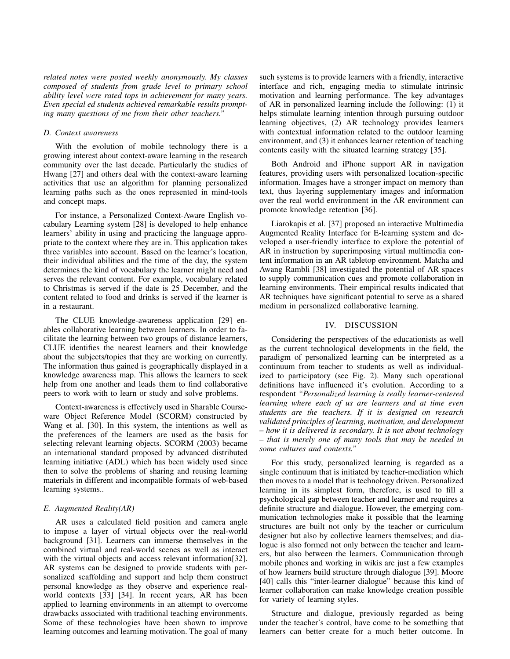*related notes were posted weekly anonymously. My classes composed of students from grade level to primary school ability level were rated tops in achievement for many years. Even special ed students achieved remarkable results prompting many questions of me from their other teachers."*

## *D. Context awareness*

With the evolution of mobile technology there is a growing interest about context-aware learning in the research community over the last decade. Particularly the studies of Hwang [27] and others deal with the context-aware learning activities that use an algorithm for planning personalized learning paths such as the ones represented in mind-tools and concept maps.

For instance, a Personalized Context-Aware English vocabulary Learning system [28] is developed to help enhance learners' ability in using and practicing the language appropriate to the context where they are in. This application takes three variables into account. Based on the learner's location, their individual abilities and the time of the day, the system determines the kind of vocabulary the learner might need and serves the relevant content. For example, vocabulary related to Christmas is served if the date is 25 December, and the content related to food and drinks is served if the learner is in a restaurant.

The CLUE knowledge-awareness application [29] enables collaborative learning between learners. In order to facilitate the learning between two groups of distance learners, CLUE identifies the nearest learners and their knowledge about the subjects/topics that they are working on currently. The information thus gained is geographically displayed in a knowledge awareness map. This allows the learners to seek help from one another and leads them to find collaborative peers to work with to learn or study and solve problems.

Context-awareness is effectively used in Sharable Courseware Object Reference Model (SCORM) constructed by Wang et al. [30]. In this system, the intentions as well as the preferences of the learners are used as the basis for selecting relevant learning objects. SCORM (2003) became an international standard proposed by advanced distributed learning initiative (ADL) which has been widely used since then to solve the problems of sharing and reusing learning materials in different and incompatible formats of web-based learning systems..

## *E. Augmented Reality(AR)*

AR uses a calculated field position and camera angle to impose a layer of virtual objects over the real-world background [31]. Learners can immerse themselves in the combined virtual and real-world scenes as well as interact with the virtual objects and access relevant information[32]. AR systems can be designed to provide students with personalized scaffolding and support and help them construct personal knowledge as they observe and experience realworld contexts [33] [34]. In recent years, AR has been applied to learning environments in an attempt to overcome drawbacks associated with traditional teaching environments. Some of these technologies have been shown to improve learning outcomes and learning motivation. The goal of many

such systems is to provide learners with a friendly, interactive interface and rich, engaging media to stimulate intrinsic motivation and learning performance. The key advantages of AR in personalized learning include the following: (1) it helps stimulate learning intention through pursuing outdoor learning objectives, (2) AR technology provides learners with contextual information related to the outdoor learning environment, and (3) it enhances learner retention of teaching contents easily with the situated learning strategy [35].

Both Android and iPhone support AR in navigation features, providing users with personalized location-specific information. Images have a stronger impact on memory than text, thus layering supplementary images and information over the real world environment in the AR environment can promote knowledge retention [36].

Liarokapis et al. [37] proposed an interactive Multimedia Augmented Reality Interface for E-learning system and developed a user-friendly interface to explore the potential of AR in instruction by superimposing virtual multimedia content information in an AR tabletop environment. Matcha and Awang Rambli [38] investigated the potential of AR spaces to supply communication cues and promote collaboration in learning environments. Their empirical results indicated that AR techniques have significant potential to serve as a shared medium in personalized collaborative learning.

## IV. DISCUSSION

Considering the perspectives of the educationists as well as the current technological developments in the field, the paradigm of personalized learning can be interpreted as a continuum from teacher to students as well as individualized to participatory (see Fig. 2). Many such operational definitions have influenced it's evolution. According to a respondent *"Personalized learning is really learner-centered learning where each of us are learners and at time even students are the teachers. If it is designed on research validated principles of learning, motivation, and development – how it is delivered is secondary. It is not about technology – that is merely one of many tools that may be needed in some cultures and contexts."*

For this study, personalized learning is regarded as a single continuum that is initiated by teacher-mediation which then moves to a model that is technology driven. Personalized learning in its simplest form, therefore, is used to fill a psychological gap between teacher and learner and requires a definite structure and dialogue. However, the emerging communication technologies make it possible that the learning structures are built not only by the teacher or curriculum designer but also by collective learners themselves; and dialogue is also formed not only between the teacher and learners, but also between the learners. Communication through mobile phones and working in wikis are just a few examples of how learners build structure through dialogue [39]. Moore [40] calls this "inter-learner dialogue" because this kind of learner collaboration can make knowledge creation possible for variety of learning styles.

Structure and dialogue, previously regarded as being under the teacher's control, have come to be something that learners can better create for a much better outcome. In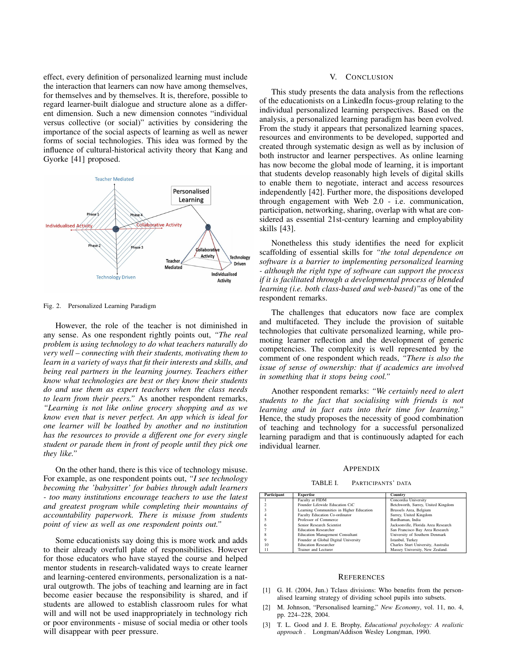effect, every definition of personalized learning must include the interaction that learners can now have among themselves, for themselves and by themselves. It is, therefore, possible to regard learner-built dialogue and structure alone as a different dimension. Such a new dimension connotes "individual versus collective (or social)" activities by considering the importance of the social aspects of learning as well as newer forms of social technologies. This idea was formed by the influence of cultural-historical activity theory that Kang and Gyorke [41] proposed.



Fig. 2. Personalized Learning Paradigm

However, the role of the teacher is not diminished in any sense. As one respondent rightly points out, *"The real problem is using technology to do what teachers naturally do very well – connecting with their students, motivating them to learn in a variety of ways that fit their interests and skills, and being real partners in the learning journey. Teachers either know what technologies are best or they know their students do and use them as expert teachers when the class needs to learn from their peers."* As another respondent remarks, *"Learning is not like online grocery shopping and as we know even that is never perfect. An app which is ideal for one learner will be loathed by another and no institution has the resources to provide a different one for every single student or parade them in front of people until they pick one they like."*

On the other hand, there is this vice of technology misuse. For example, as one respondent points out, *"I see technology becoming the 'babysitter' for babies through adult learners - too many institutions encourage teachers to use the latest and greatest program while completing their mountains of accountability paperwork. There is misuse from students point of view as well as one respondent points out."*

Some educationists say doing this is more work and adds to their already overfull plate of responsibilities. However for those educators who have stayed the course and helped mentor students in research-validated ways to create learner and learning-centered environments, personalization is a natural outgrowth. The jobs of teaching and learning are in fact become easier because the responsibility is shared, and if students are allowed to establish classroom rules for what will and will not be used inappropriately in technology rich or poor environments - misuse of social media or other tools will disappear with peer pressure.

## V. CONCLUSION

This study presents the data analysis from the reflections of the educationists on a LinkedIn focus-group relating to the individual personalized learning perspectives. Based on the analysis, a personalized learning paradigm has been evolved. From the study it appears that personalized learning spaces, resources and environments to be developed, supported and created through systematic design as well as by inclusion of both instructor and learner perspectives. As online learning has now become the global mode of learning, it is important that students develop reasonably high levels of digital skills to enable them to negotiate, interact and access resources independently [42]. Further more, the dispositions developed through engagement with Web 2.0 - i.e. communication, participation, networking, sharing, overlap with what are considered as essential 21st-century learning and employability skills [43].

Nonetheless this study identifies the need for explicit scaffolding of essential skills for *"the total dependence on software is a barrier to implementing personalized learning - although the right type of software can support the process if it is facilitated through a developmental process of blended learning (i.e. both class-based and web-based)"*as one of the respondent remarks.

The challenges that educators now face are complex and multifaceted. They include the provision of suitable technologies that cultivate personalized learning, while promoting learner reflection and the development of generic competencies. The complexity is well represented by the comment of one respondent which reads, *"There is also the issue of sense of ownership: that if academics are involved in something that it stops being cool."*

Another respondent remarks: *"We certainly need to alert students to the fact that socialising with friends is not learning and in fact eats into their time for learning."* Hence, the study proposes the necessity of good combination of teaching and technology for a successful personalized learning paradigm and that is continuously adapted for each individual learner.

#### APPENDIX

TABLE I. PARTICIPANTS' DATA

| Participant | <b>Expertise</b>                         | Country                             |
|-------------|------------------------------------------|-------------------------------------|
|             | Faculty at FIDM                          | Concordia University                |
|             | Founder Lifewide Education CiC           | Betchworth, Surrey, United Kingdom  |
|             | Learning Communities in Higher Education | Brussels Area, Belgium              |
|             | Faculty Education Co-ordinator           | Surrey, United Kingdom              |
|             | Professor of Commerce                    | Bardhaman, India                    |
|             | Senior Research Scientist                | Jacksonville, Florida Area Research |
|             | <b>Education Researcher</b>              | San Francisco Bay Area Research     |
| ۰           | <b>Education Management Consultant</b>   | University of Southern Denmark      |
| o           | Founder at Global Digital University     | Istanbul, Turkey                    |
| 10          | <b>Education Researcher</b>              | Charles Sturt University, Australia |
|             | Trainer and Lecturer                     | Massey University, New Zealand.     |

#### **REFERENCES**

- [1] G. H. (2004, Jun.) Tclass divisions: Who benefits from the personalised learning strategy of dividing school pupils into subsets.
- [2] M. Johnson, "Personalised learning," *New Economy*, vol. 11, no. 4, pp. 224–228, 2004.
- [3] T. L. Good and J. E. Brophy, *Educational psychology: A realistic approach .* Longman/Addison Wesley Longman, 1990.